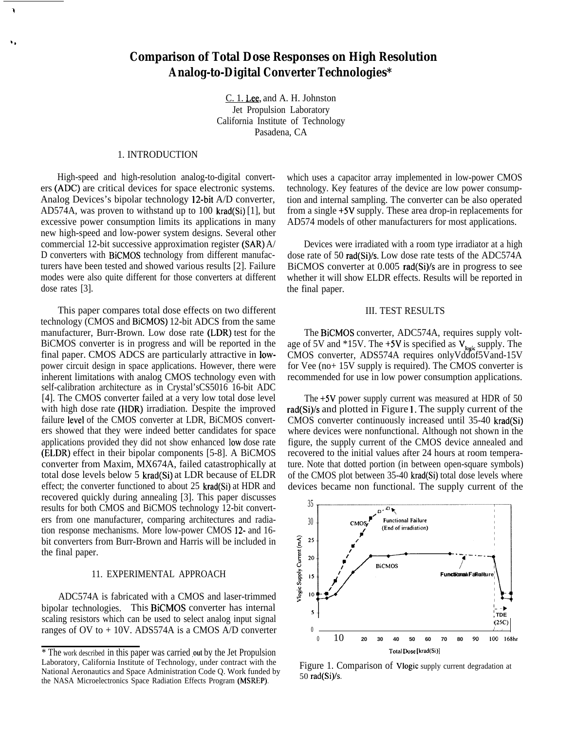# **Comparison of Total Dose Responses on High Resolution Analog-to-Digital Converter Technologies\***

C. 1. Lee, and A. H. Johnston Jet Propulsion Laboratory California Institute of Technology Pasadena, CA

## 1. INTRODUCTION

b,

٦

High-speed and high-resolution analog-to-digital converters (ADC) are critical devices for space electronic systems. Analog Devices's bipolar technology 12-bit A/D converter, AD574A, was proven to withstand up to 100 krad(Si) [1], but excessive power consumption limits its applications in many new high-speed and low-power system designs. Several other commercial 12-bit successive approximation register (SAR) A/ D converters with BiCMOS technology from different manufacturers have been tested and showed various results [2]. Failure modes were also quite different for those converters at different dose rates [3].

This paper compares total dose effects on two different technology (CMOS and BiCMOS) 12-bit ADCS from the same manufacturer, Burr-Brown. Low dose rate (LDR) test for the BiCMOS converter is in progress and will be reported in the final paper. CMOS ADCS are particularly attractive in lowpower circuit design in space applications. However, there were inherent limitations with analog CMOS technology even with self-calibration architecture as in Crystal'sCS5016 16-bit ADC [4]. The CMOS converter failed at a very low total dose level with high dose rate (HDR) irradiation. Despite the improved failure level of the CMOS converter at LDR, BiCMOS converters showed that they were indeed better candidates for space applications provided they did not show enhanced low dose rate (ELDR) effect in their bipolar components [5-8]. A BiCMOS converter from Maxim, MX674A, failed catastrophically at total dose levels below 5 krad(Si) at LDR because of ELDR effect; the converter functioned to about 25 krad(Si) at HDR and recovered quickly during annealing [3]. This paper discusses results for both CMOS and BiCMOS technology 12-bit converters from one manufacturer, comparing architectures and radiation response mechanisms. More low-power CMOS 12- and 16 bit converters from Burr-Brown and Harris will be included in the final paper.

# 11. EXPERIMENTAL APPROACH

ADC574A is fabricated with a CMOS and laser-trimmed bipolar technologies. This BiCMOS converter has internal scaling resistors which can be used to select analog input signal ranges of  $OV$  to  $+ 10V$ . ADS574A is a CMOS A/D converter

which uses a capacitor array implemented in low-power CMOS technology. Key features of the device are low power consumption and internal sampling. The converter can be also operated from a single +5V supply. These area drop-in replacements for AD574 models of other manufacturers for most applications.

Devices were irradiated with a room type irradiator at a high dose rate of 50 rad(Si)/s. Low dose rate tests of the ADC574A BiCMOS converter at 0.005 rad(Si)/s are in progress to see whether it will show ELDR effects. Results will be reported in the final paper.

#### III. TEST RESULTS

The BiCMOS converter, ADC574A, requires supply voltage of 5V and \*15V. The +5V is specified as  $V_{\text{basic}}$  supply. The CMOS converter, ADS574A requires onlyVddof5Vand-15V for Vee (no+ 15V supply is required). The CMOS converter is recommended for use in low power consumption applications.

The +5V power supply current was measured at HDR of 50 rad(Si)/s and plotted in Figure 1. The supply current of the CMOS converter continuously increased until 35-40 krad(Si) where devices were nonfunctional. Although not shown in the figure, the supply current of the CMOS device annealed and recovered to the initial values after 24 hours at room temperature. Note that dotted portion (in between open-square symbols) of the CMOS plot between 35-40 krad(Si) total dose levels where devices became non functional. The supply current of the



Figure 1. Comparison of Vlogic supply current degradation at 50 rad(Si)/s.

<sup>\*</sup> The work described in this paper was carried out by the Jet Propulsion Laboratory, California Institute of Technology, under contract with the National Aeronautics and Space Administration Code Q. Work funded by the NASA Microelectronics Space Radiation Effects Program (MSREP).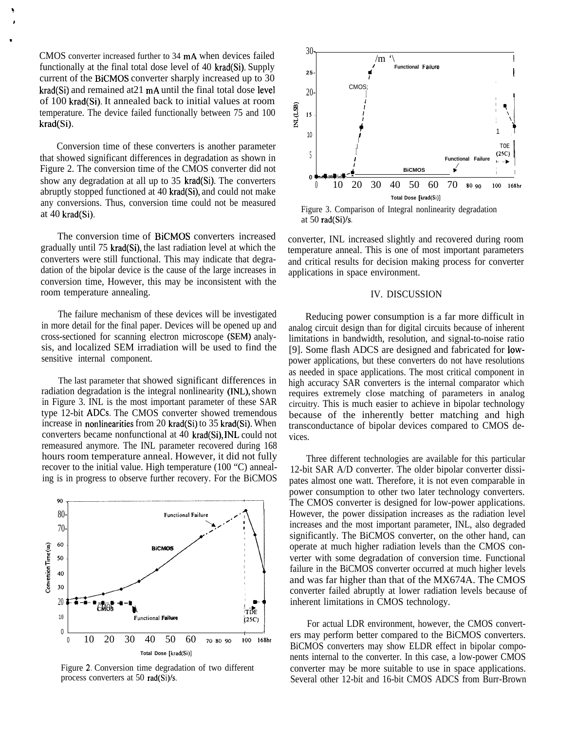CMOS converter increased further to 34 mA when devices failed functionally at the final total dose level of 40 krad(Si). Supply current of the BiCMOS converter sharply increased up to 30 krad(Si) and remained at21 mA until the final total dose level of 100 krad(Si). It annealed back to initial values at room temperature. The device failed functionally between 75 and 100 krad(Si).

Conversion time of these converters is another parameter that showed significant differences in degradation as shown in Figure 2. The conversion time of the CMOS converter did not show any degradation at all up to 35 krad(Si). The converters abruptly stopped functioned at 40 krad(Si), and could not make any conversions. Thus, conversion time could not be measured at 40 krad(Si).

The conversion time of BiCMOS converters increased gradually until 75 krad(Si), the last radiation level at which the converters were still functional. This may indicate that degradation of the bipolar device is the cause of the large increases in conversion time, However, this may be inconsistent with the room temperature annealing.

The failure mechanism of these devices will be investigated in more detail for the final paper. Devices will be opened up and cross-sectioned for scanning electron microscope (SEM) analysis, and localized SEM irradiation will be used to find the sensitive internal component.

The last parameter that showed significant differences in radiation degradation is the integral nonlinearity (lNL), shown in Figure 3. INL is the most important parameter of these SAR type 12-bit ADCS. The CMOS converter showed tremendous increase in nonlinearities from 20 krad(Si) to 35 krad(Si). When converters became nonfunctional at 40 krad(Si), INL could not remeasured anymore. The INL parameter recovered during 168 hours room temperature anneal. However, it did not fully recover to the initial value. High temperature (100 "C) annealing is in progress to observe further recovery. For the BiCMOS



Figure 2. Conversion time degradation of two different process converters at 50 rad(Si)/s.



Figure 3. Comparison of Integral nonlinearity degradation at 50 rad(Si)/s.

converter, INL increased slightly and recovered during room temperature anneal. This is one of most important parameters and critical results for decision making process for converter applications in space environment.

#### IV. DISCUSSION

Reducing power consumption is a far more difficult in analog circuit design than for digital circuits because of inherent limitations in bandwidth, resolution, and signal-to-noise ratio [9]. Some flash ADCS are designed and fabricated for lowpower applications, but these converters do not have resolutions as needed in space applications. The most critical component in high accuracy SAR converters is the internal comparator which requires extremely close matching of parameters in analog circuitry. This is much easier to achieve in bipolar technology because of the inherently better matching and high transconductance of bipolar devices compared to CMOS devices.

Three different technologies are available for this particular 12-bit SAR A/D converter. The older bipolar converter dissipates almost one watt. Therefore, it is not even comparable in power consumption to other two later technology converters. The CMOS converter is designed for low-power applications. However, the power dissipation increases as the radiation level increases and the most important parameter, INL, also degraded significantly. The BiCMOS converter, on the other hand, can operate at much higher radiation levels than the CMOS converter with some degradation of conversion time. Functional failure in the BiCMOS converter occurred at much higher levels and was far higher than that of the MX674A. The CMOS converter failed abruptly at lower radiation levels because of inherent limitations in CMOS technology.

For actual LDR environment, however, the CMOS converters may perform better compared to the BiCMOS converters. BiCMOS converters may show ELDR effect in bipolar components internal to the converter. In this case, a low-power CMOS converter may be more suitable to use in space applications. Several other 12-bit and 16-bit CMOS ADCS from Burr-Brown